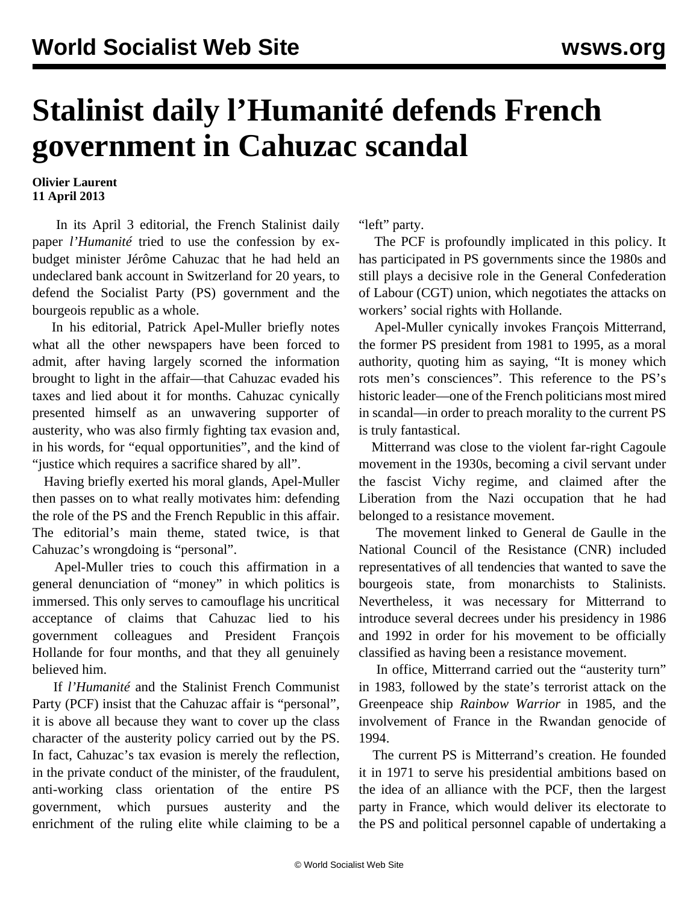## **Stalinist daily l'Humanité defends French government in Cahuzac scandal**

## **Olivier Laurent 11 April 2013**

 In its April 3 editorial, the French Stalinist daily paper *l'Humanité* tried to use the confession by exbudget minister Jérôme Cahuzac that he had held an undeclared bank account in Switzerland for 20 years, to defend the Socialist Party (PS) government and the bourgeois republic as a whole.

 In his editorial, Patrick Apel-Muller briefly notes what all the other newspapers have been forced to admit, after having largely scorned the information brought to light in the affair—that Cahuzac evaded his taxes and lied about it for months. Cahuzac cynically presented himself as an unwavering supporter of austerity, who was also firmly fighting tax evasion and, in his words, for "equal opportunities", and the kind of "justice which requires a sacrifice shared by all".

 Having briefly exerted his moral glands, Apel-Muller then passes on to what really motivates him: defending the role of the PS and the French Republic in this affair. The editorial's main theme, stated twice, is that Cahuzac's wrongdoing is "personal".

 Apel-Muller tries to couch this affirmation in a general denunciation of "money" in which politics is immersed. This only serves to camouflage his uncritical acceptance of claims that Cahuzac lied to his government colleagues and President François Hollande for four months, and that they all genuinely believed him.

 If *l'Humanité* and the Stalinist French Communist Party (PCF) insist that the Cahuzac affair is "personal", it is above all because they want to cover up the class character of the austerity policy carried out by the PS. In fact, Cahuzac's tax evasion is merely the reflection, in the private conduct of the minister, of the fraudulent, anti-working class orientation of the entire PS government, which pursues austerity and the enrichment of the ruling elite while claiming to be a

"left" party.

 The PCF is profoundly implicated in this policy. It has participated in PS governments since the 1980s and still plays a decisive role in the General Confederation of Labour (CGT) union, which negotiates the attacks on workers' social rights with Hollande.

 Apel-Muller cynically invokes François Mitterrand, the former PS president from 1981 to 1995, as a moral authority, quoting him as saying, "It is money which rots men's consciences". This reference to the PS's historic leader—one of the French politicians most mired in scandal—in order to preach morality to the current PS is truly fantastical.

 Mitterrand was close to the violent far-right Cagoule movement in the 1930s, becoming a civil servant under the fascist Vichy regime, and claimed after the Liberation from the Nazi occupation that he had belonged to a resistance movement.

 The movement linked to General de Gaulle in the National Council of the Resistance (CNR) included representatives of all tendencies that wanted to save the bourgeois state, from monarchists to Stalinists. Nevertheless, it was necessary for Mitterrand to introduce several decrees under his presidency in 1986 and 1992 in order for his movement to be officially classified as having been a resistance movement.

 In office, Mitterrand carried out the "austerity turn" in 1983, followed by the state's terrorist attack on the Greenpeace ship *Rainbow Warrior* in 1985, and the involvement of France in the Rwandan genocide of 1994.

 The current PS is Mitterrand's creation. He founded it in 1971 to serve his presidential ambitions based on the idea of an alliance with the PCF, then the largest party in France, which would deliver its electorate to the PS and political personnel capable of undertaking a